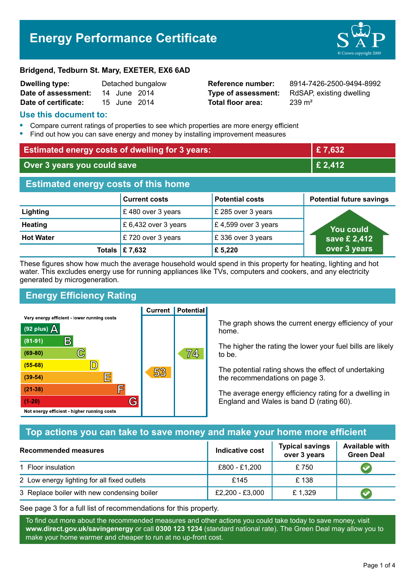# **Energy Performance Certificate**



#### **Bridgend, Tedburn St. Mary, EXETER, EX6 6AD**

| <b>Dwelling type:</b> | Detached bungalow |              |  |
|-----------------------|-------------------|--------------|--|
| Date of assessment:   |                   | 14 June 2014 |  |
| Date of certificate:  |                   | 15 June 2014 |  |

**Total floor area:** 239 m<sup>2</sup>

**Reference number:** 8914-7426-2500-9494-8992 **Type of assessment:** RdSAP, existing dwelling

#### **Use this document to:**

- **•** Compare current ratings of properties to see which properties are more energy efficient
- **•** Find out how you can save energy and money by installing improvement measures

| <b>Estimated energy costs of dwelling for 3 years:</b> |                           | £7,632                 |                                 |  |
|--------------------------------------------------------|---------------------------|------------------------|---------------------------------|--|
| Over 3 years you could save                            |                           | £ 2,412                |                                 |  |
| <b>Estimated energy costs of this home</b>             |                           |                        |                                 |  |
|                                                        | <b>Current costs</b>      | <b>Potential costs</b> | <b>Potential future savings</b> |  |
| Lighting                                               | £480 over 3 years         | £ 285 over 3 years     |                                 |  |
| <b>Heating</b>                                         | £ 6,432 over 3 years      | £ 4,599 over 3 years   | You could                       |  |
| <b>Hot Water</b>                                       | £720 over 3 years         | £336 over 3 years      | save £ 2,412                    |  |
|                                                        | Totals $\mathsf{E}$ 7,632 | £ 5,220                | over 3 years                    |  |

These figures show how much the average household would spend in this property for heating, lighting and hot water. This excludes energy use for running appliances like TVs, computers and cookers, and any electricity generated by microgeneration.

# **Energy Efficiency Rating**

**Current | Potential** 



The graph shows the current energy efficiency of your home.

The higher the rating the lower your fuel bills are likely to be.

The potential rating shows the effect of undertaking the recommendations on page 3.

The average energy efficiency rating for a dwelling in England and Wales is band D (rating 60).

# **Top actions you can take to save money and make your home more efficient**

| Recommended measures                        | Indicative cost | <b>Typical savings</b><br>over 3 years | <b>Available with</b><br><b>Green Deal</b> |
|---------------------------------------------|-----------------|----------------------------------------|--------------------------------------------|
| 1 Floor insulation                          | £800 - £1,200   | £750                                   |                                            |
| 2 Low energy lighting for all fixed outlets | £145            | £138                                   |                                            |
| 3 Replace boiler with new condensing boiler | £2,200 - £3,000 | £1,329                                 |                                            |

See page 3 for a full list of recommendations for this property.

To find out more about the recommended measures and other actions you could take today to save money, visit **www.direct.gov.uk/savingenergy** or call **0300 123 1234** (standard national rate). The Green Deal may allow you to make your home warmer and cheaper to run at no up-front cost.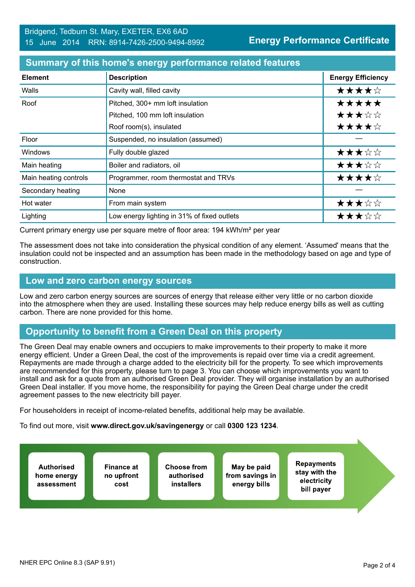#### **Summary of this home's energy performance related features**

| <b>Element</b>        | <b>Description</b>                          | <b>Energy Efficiency</b> |
|-----------------------|---------------------------------------------|--------------------------|
| Walls                 | Cavity wall, filled cavity                  | ★★★★☆                    |
| Roof                  | Pitched, 300+ mm loft insulation            | *****                    |
|                       | Pitched, 100 mm loft insulation             | ★★★☆☆                    |
|                       | Roof room(s), insulated                     | ★★★★☆                    |
| Floor                 | Suspended, no insulation (assumed)          |                          |
| Windows               | Fully double glazed                         | ★★★☆☆                    |
| Main heating          | Boiler and radiators, oil                   | ★★★☆☆                    |
| Main heating controls | Programmer, room thermostat and TRVs        | ★★★★☆                    |
| Secondary heating     | None                                        |                          |
| Hot water             | From main system                            | ★★★☆☆                    |
| Lighting              | Low energy lighting in 31% of fixed outlets | ★★★☆☆                    |

Current primary energy use per square metre of floor area: 194 kWh/m² per year

The assessment does not take into consideration the physical condition of any element. 'Assumed' means that the insulation could not be inspected and an assumption has been made in the methodology based on age and type of construction.

#### **Low and zero carbon energy sources**

Low and zero carbon energy sources are sources of energy that release either very little or no carbon dioxide into the atmosphere when they are used. Installing these sources may help reduce energy bills as well as cutting carbon. There are none provided for this home.

## **Opportunity to benefit from a Green Deal on this property**

The Green Deal may enable owners and occupiers to make improvements to their property to make it more energy efficient. Under a Green Deal, the cost of the improvements is repaid over time via a credit agreement. Repayments are made through a charge added to the electricity bill for the property. To see which improvements are recommended for this property, please turn to page 3. You can choose which improvements you want to install and ask for a quote from an authorised Green Deal provider. They will organise installation by an authorised Green Deal installer. If you move home, the responsibility for paying the Green Deal charge under the credit agreement passes to the new electricity bill payer.

For householders in receipt of income-related benefits, additional help may be available.

To find out more, visit **www.direct.gov.uk/savingenergy** or call **0300 123 1234**.

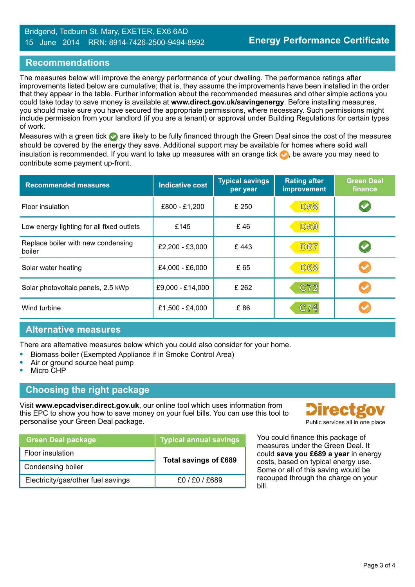## **Recommendations**

The measures below will improve the energy performance of your dwelling. The performance ratings after improvements listed below are cumulative; that is, they assume the improvements have been installed in the order that they appear in the table. Further information about the recommended measures and other simple actions you could take today to save money is available at **www.direct.gov.uk/savingenergy**. Before installing measures, you should make sure you have secured the appropriate permissions, where necessary. Such permissions might include permission from your landlord (if you are a tenant) or approval under Building Regulations for certain types of work.

Measures with a green tick are likely to be fully financed through the Green Deal since the cost of the measures should be covered by the energy they save. Additional support may be available for homes where solid wall insulation is recommended. If you want to take up measures with an orange tick  $\bullet$ , be aware you may need to contribute some payment up-front.

| <b>Recommended measures</b>                  | <b>Indicative cost</b> | <b>Typical savings</b><br>per year | <b>Rating after</b><br><b>improvement</b> | <b>Green Deal</b><br>finance |
|----------------------------------------------|------------------------|------------------------------------|-------------------------------------------|------------------------------|
| <b>Floor insulation</b>                      | £800 - £1,200          | £ 250                              | <b>D58</b>                                |                              |
| Low energy lighting for all fixed outlets    | £145                   | £46                                | <b>D59</b>                                |                              |
| Replace boiler with new condensing<br>boiler | £2,200 - £3,000        | £443                               | <b>D67</b>                                |                              |
| Solar water heating                          | £4,000 - £6,000        | £ 65                               | <b>D68</b>                                |                              |
| Solar photovoltaic panels, 2.5 kWp           | £9,000 - £14,000       | £262                               | C72                                       | $\blacktriangledown$         |
| Wind turbine                                 | £1,500 - £4,000        | £86                                | C74                                       |                              |

#### **Alternative measures**

There are alternative measures below which you could also consider for your home.

- **•** Biomass boiler (Exempted Appliance if in Smoke Control Area)
- **•** Air or ground source heat pump
- **•** Micro CHP

#### **Choosing the right package**

Visit **www.epcadviser.direct.gov.uk**, our online tool which uses information from this EPC to show you how to save money on your fuel bills. You can use this tool to personalise your Green Deal package. The particle services all in one place problem of the place

| <b>Green Deal package</b>          | <b>Typical annual savings</b> |  |
|------------------------------------|-------------------------------|--|
| Floor insulation                   | Total savings of £689         |  |
| Condensing boiler                  |                               |  |
| Electricity/gas/other fuel savings | f0/F0/F689                    |  |



You could finance this package of measures under the Green Deal. It could **save you £689 a year** in energy costs, based on typical energy use. Some or all of this saving would be recouped through the charge on your bill.